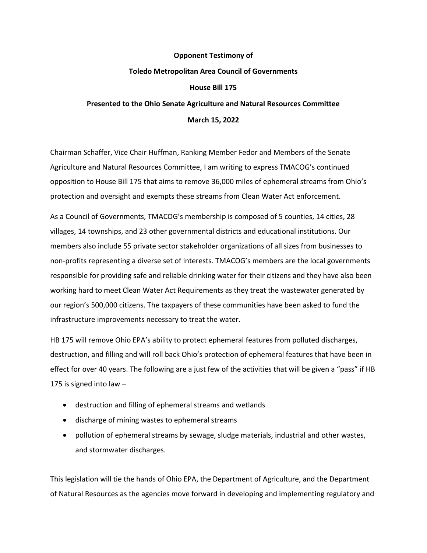## **Opponent Testimony of Toledo Metropolitan Area Council of Governments House Bill 175 Presented to the Ohio Senate Agriculture and Natural Resources Committee**

**March 15, 2022**

Chairman Schaffer, Vice Chair Huffman, Ranking Member Fedor and Members of the Senate Agriculture and Natural Resources Committee, I am writing to express TMACOG's continued opposition to House Bill 175 that aims to remove 36,000 miles of ephemeral streams from Ohio's protection and oversight and exempts these streams from Clean Water Act enforcement.

As a Council of Governments, TMACOG's membership is composed of 5 counties, 14 cities, 28 villages, 14 townships, and 23 other governmental districts and educational institutions. Our members also include 55 private sector stakeholder organizations of all sizes from businesses to non-profits representing a diverse set of interests. TMACOG's members are the local governments responsible for providing safe and reliable drinking water for their citizens and they have also been working hard to meet Clean Water Act Requirements as they treat the wastewater generated by our region's 500,000 citizens. The taxpayers of these communities have been asked to fund the infrastructure improvements necessary to treat the water.

HB 175 will remove Ohio EPA's ability to protect ephemeral features from polluted discharges, destruction, and filling and will roll back Ohio's protection of ephemeral features that have been in effect for over 40 years. The following are a just few of the activities that will be given a "pass" if HB 175 is signed into law –

- destruction and filling of ephemeral streams and wetlands
- discharge of mining wastes to ephemeral streams
- pollution of ephemeral streams by sewage, sludge materials, industrial and other wastes, and stormwater discharges.

This legislation will tie the hands of Ohio EPA, the Department of Agriculture, and the Department of Natural Resources as the agencies move forward in developing and implementing regulatory and